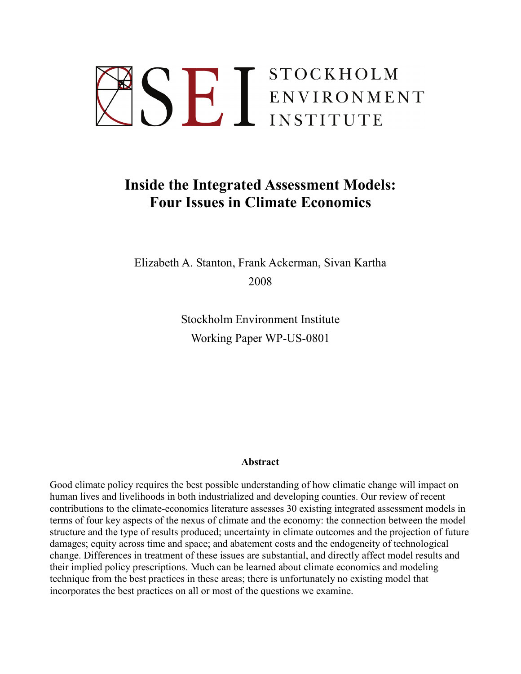

# **Inside the Integrated Assessment Models: Four Issues in Climate Economics**

Elizabeth A. Stanton, Frank Ackerman, Sivan Kartha 2008

> Stockholm Environment Institute Working Paper WP-US-0801

#### **Abstract**

Good climate policy requires the best possible understanding of how climatic change will impact on human lives and livelihoods in both industrialized and developing counties. Our review of recent contributions to the climate-economics literature assesses 30 existing integrated assessment models in terms of four key aspects of the nexus of climate and the economy: the connection between the model structure and the type of results produced; uncertainty in climate outcomes and the projection of future damages; equity across time and space; and abatement costs and the endogeneity of technological change. Differences in treatment of these issues are substantial, and directly affect model results and their implied policy prescriptions. Much can be learned about climate economics and modeling technique from the best practices in these areas; there is unfortunately no existing model that incorporates the best practices on all or most of the questions we examine.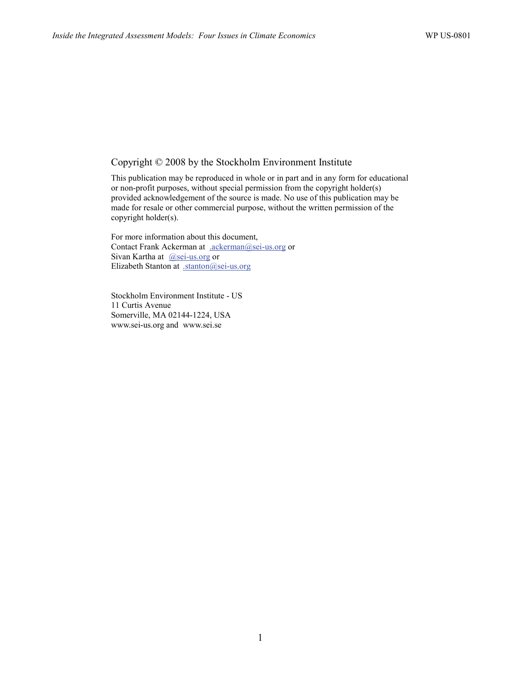#### Copyright © 2008 by the Stockholm Environment Institute

This publication may be reproduced in whole or in part and in any form for educational or non-profit purposes, without special permission from the copyright holder(s) provided acknowledgement of the source is made. No use of this publication may be made for resale or other commercial purpose, without the written permission of the copyright holder(s).

For more information about this document, Contact Frank Ackerman at [.ackerman@sei-us.org](mailto:frank.ackerman@sei-us.org) or Sivan Kartha at [@sei-us.org](mailto:skartha@sei-us.org) or Elizabeth Stanton at stanton@sei-us.org

Stockholm Environment Institute - US 11 Curtis Avenue Somerville, MA 02144-1224, USA [www.sei-us.org](http://www.sei-us.org/) and [www.sei.se](http://www.sei.se/)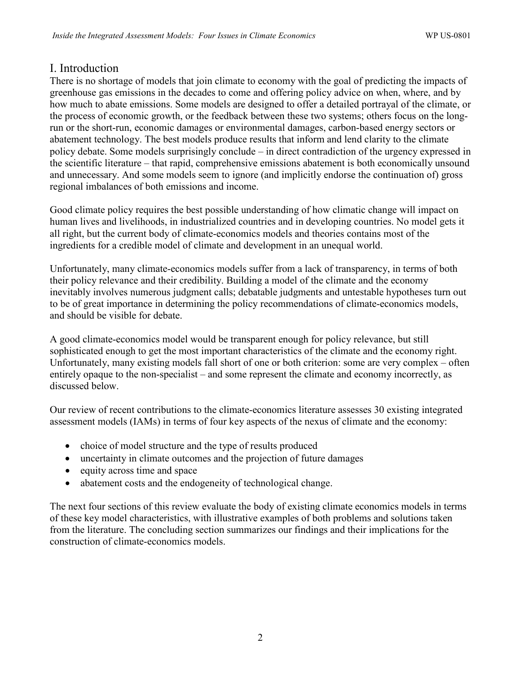### I. Introduction

There is no shortage of models that join climate to economy with the goal of predicting the impacts of greenhouse gas emissions in the decades to come and offering policy advice on when, where, and by how much to abate emissions. Some models are designed to offer a detailed portrayal of the climate, or the process of economic growth, or the feedback between these two systems; others focus on the longrun or the short-run, economic damages or environmental damages, carbon-based energy sectors or abatement technology. The best models produce results that inform and lend clarity to the climate policy debate. Some models surprisingly conclude – in direct contradiction of the urgency expressed in the scientific literature – that rapid, comprehensive emissions abatement is both economically unsound and unnecessary. And some models seem to ignore (and implicitly endorse the continuation of) gross regional imbalances of both emissions and income.

Good climate policy requires the best possible understanding of how climatic change will impact on human lives and livelihoods, in industrialized countries and in developing countries. No model gets it all right, but the current body of climate-economics models and theories contains most of the ingredients for a credible model of climate and development in an unequal world.

Unfortunately, many climate-economics models suffer from a lack of transparency, in terms of both their policy relevance and their credibility. Building a model of the climate and the economy inevitably involves numerous judgment calls; debatable judgments and untestable hypotheses turn out to be of great importance in determining the policy recommendations of climate-economics models, and should be visible for debate.

A good climate-economics model would be transparent enough for policy relevance, but still sophisticated enough to get the most important characteristics of the climate and the economy right. Unfortunately, many existing models fall short of one or both criterion: some are very complex – often entirely opaque to the non-specialist – and some represent the climate and economy incorrectly, as discussed below.

Our review of recent contributions to the climate-economics literature assesses 30 existing integrated assessment models (IAMs) in terms of four key aspects of the nexus of climate and the economy:

- choice of model structure and the type of results produced
- uncertainty in climate outcomes and the projection of future damages
- equity across time and space
- abatement costs and the endogeneity of technological change.

The next four sections of this review evaluate the body of existing climate economics models in terms of these key model characteristics, with illustrative examples of both problems and solutions taken from the literature. The concluding section summarizes our findings and their implications for the construction of climate-economics models.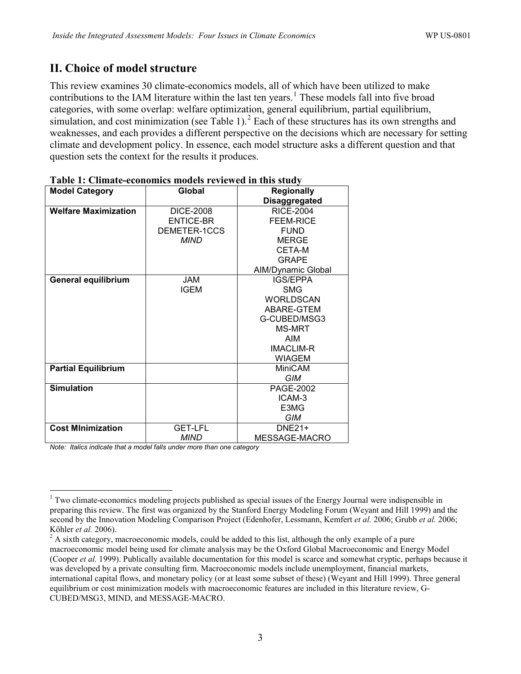# **II. Choice of model structure**

This review examines 30 climate-economics models, all of which have been utilized to make contributions to the IAM literature within the last ten years.<sup>[1](#page-3-0)</sup> These models fall into five broad categories, with some overlap: welfare optimization, general equilibrium, partial equilibrium, simulation, and cost minimization (see Table 1).<sup>[2](#page-3-1)</sup> Each of these structures has its own strengths and weaknesses, and each provides a different perspective on the decisions which are necessary for setting climate and development policy. In essence, each model structure asks a different question and that question sets the context for the results it produces.

| <b>Model Category</b>       | Global           | <b>Regionally</b>    |  |  |
|-----------------------------|------------------|----------------------|--|--|
|                             |                  | <b>Disaggregated</b> |  |  |
| <b>Welfare Maximization</b> | <b>DICE-2008</b> | <b>RICE-2004</b>     |  |  |
|                             | <b>ENTICE-BR</b> | <b>FEEM-RICE</b>     |  |  |
|                             | DEMETER-1CCS     | <b>FUND</b>          |  |  |
|                             | MIND             | <b>MERGE</b>         |  |  |
|                             |                  | <b>CETA-M</b>        |  |  |
|                             |                  | <b>GRAPE</b>         |  |  |
|                             |                  | AIM/Dynamic Global   |  |  |
| <b>General equilibrium</b>  | JAM              | IGS/EPPA             |  |  |
|                             | <b>IGEM</b>      | SMG                  |  |  |
|                             |                  | <b>WORLDSCAN</b>     |  |  |
|                             |                  | ABARE-GTEM           |  |  |
|                             |                  | G-CUBED/MSG3         |  |  |
|                             |                  | <b>MS-MRT</b>        |  |  |
|                             |                  | <b>AIM</b>           |  |  |
|                             |                  | <b>IMACLIM-R</b>     |  |  |
|                             |                  | <b>WIAGEM</b>        |  |  |
| <b>Partial Equilibrium</b>  |                  | <b>MiniCAM</b>       |  |  |
|                             |                  | GIM                  |  |  |
| <b>Simulation</b>           |                  | <b>PAGE-2002</b>     |  |  |
|                             |                  | ICAM-3               |  |  |
|                             |                  | E3MG                 |  |  |
|                             |                  | GIM                  |  |  |
| <b>Cost Minimization</b>    | <b>GET-LFL</b>   | <b>DNE21+</b>        |  |  |
|                             | <b>MIND</b>      | MESSAGE-MACRO        |  |  |

| Table 1: Climate-economics models reviewed in this study |  |  |
|----------------------------------------------------------|--|--|
|                                                          |  |  |

*Note: Italics indicate that a model falls under more than one category*

<span id="page-3-0"></span> $1$  Two climate-economics modeling projects published as special issues of the Energy Journal were indispensible in preparing this review. The first was organized by the Stanford Energy Modeling Forum (Weyant and Hill 1999) and the second by the Innovation Modeling Comparison Project (Edenhofer, Lessmann, Kemfert *et al.* 2006; Grubb *et al.* 2006; Köhler *et al.* 2006).<br><sup>2</sup> A sixth category, macroeconomic models, could be added to this list, although the only example of a pure

<span id="page-3-1"></span>macroeconomic model being used for climate analysis may be the Oxford Global Macroeconomic and Energy Model (Cooper *et al.* 1999). Publically available documentation for this model is scarce and somewhat cryptic, perhaps because it was developed by a private consulting firm. Macroeconomic models include unemployment, financial markets, international capital flows, and monetary policy (or at least some subset of these) (Weyant and Hill 1999). Three general equilibrium or cost minimization models with macroeconomic features are included in this literature review, G-CUBED/MSG3, MIND, and MESSAGE-MACRO.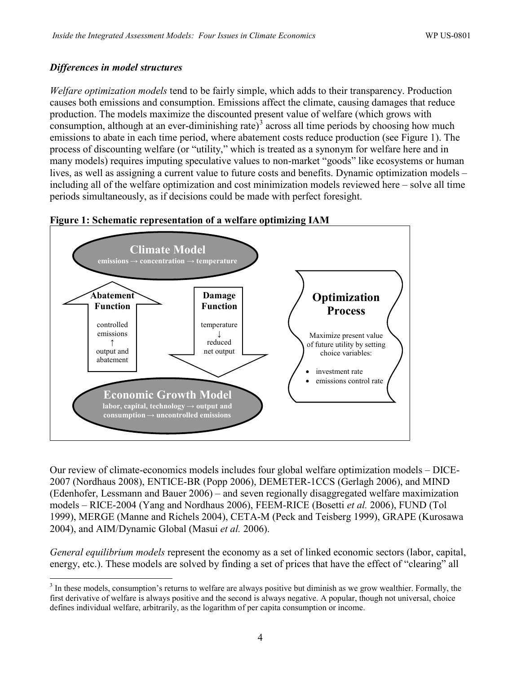### *Differences in model structures*

*Welfare optimization models* tend to be fairly simple, which adds to their transparency. Production causes both emissions and consumption. Emissions affect the climate, causing damages that reduce production. The models maximize the discounted present value of welfare (which grows with consumption, although at an ever-diminishing rate)<sup>[3](#page-4-0)</sup> across all time periods by choosing how much emissions to abate in each time period, where abatement costs reduce production (see Figure 1). The process of discounting welfare (or "utility," which is treated as a synonym for welfare here and in many models) requires imputing speculative values to non-market "goods" like ecosystems or human lives, as well as assigning a current value to future costs and benefits. Dynamic optimization models – including all of the welfare optimization and cost minimization models reviewed here – solve all time periods simultaneously, as if decisions could be made with perfect foresight.



### **Figure 1: Schematic representation of a welfare optimizing IAM**

Our review of climate-economics models includes four global welfare optimization models – DICE-2007 (Nordhaus 2008), ENTICE-BR (Popp 2006), DEMETER-1CCS (Gerlagh 2006), and MIND (Edenhofer, Lessmann and Bauer 2006) – and seven regionally disaggregated welfare maximization models – RICE-2004 (Yang and Nordhaus 2006), FEEM-RICE (Bosetti *et al.* 2006), FUND (Tol 1999), MERGE (Manne and Richels 2004), CETA-M (Peck and Teisberg 1999), GRAPE (Kurosawa 2004), and AIM/Dynamic Global (Masui *et al.* 2006).

*General equilibrium models* represent the economy as a set of linked economic sectors (labor, capital, energy, etc.). These models are solved by finding a set of prices that have the effect of "clearing" all

<span id="page-4-0"></span><sup>&</sup>lt;sup>3</sup> In these models, consumption's returns to welfare are always positive but diminish as we grow wealthier. Formally, the first derivative of welfare is always positive and the second is always negative. A popular, though not universal, choice defines individual welfare, arbitrarily, as the logarithm of per capita consumption or income.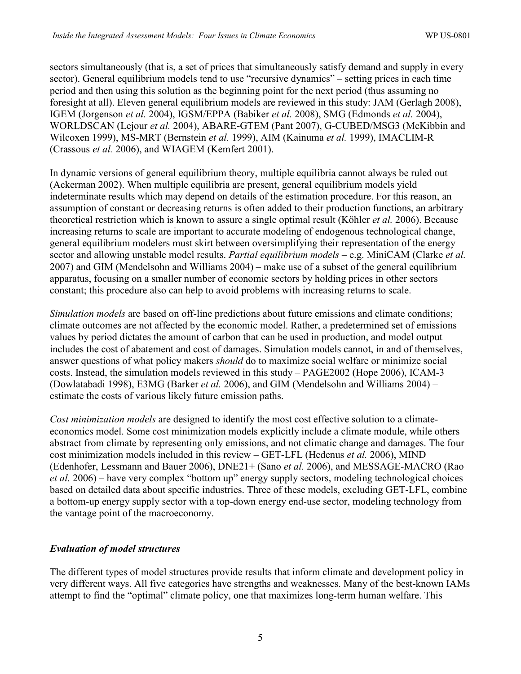sectors simultaneously (that is, a set of prices that simultaneously satisfy demand and supply in every sector). General equilibrium models tend to use "recursive dynamics" – setting prices in each time period and then using this solution as the beginning point for the next period (thus assuming no foresight at all). Eleven general equilibrium models are reviewed in this study: JAM (Gerlagh 2008), IGEM (Jorgenson *et al.* 2004), IGSM/EPPA (Babiker *et al.* 2008), SMG (Edmonds *et al.* 2004), WORLDSCAN (Lejour *et al.* 2004), ABARE-GTEM (Pant 2007), G-CUBED/MSG3 (McKibbin and Wilcoxen 1999), MS-MRT (Bernstein *et al.* 1999), AIM (Kainuma *et al.* 1999), IMACLIM-R (Crassous *et al.* 2006), and WIAGEM (Kemfert 2001).

In dynamic versions of general equilibrium theory, multiple equilibria cannot always be ruled out (Ackerman 2002). When multiple equilibria are present, general equilibrium models yield indeterminate results which may depend on details of the estimation procedure. For this reason, an assumption of constant or decreasing returns is often added to their production functions, an arbitrary theoretical restriction which is known to assure a single optimal result (Köhler *et al.* 2006). Because increasing returns to scale are important to accurate modeling of endogenous technological change, general equilibrium modelers must skirt between oversimplifying their representation of the energy sector and allowing unstable model results. *Partial equilibrium models* – e.g. MiniCAM (Clarke *et al.* 2007) and GIM (Mendelsohn and Williams 2004) – make use of a subset of the general equilibrium apparatus, focusing on a smaller number of economic sectors by holding prices in other sectors constant; this procedure also can help to avoid problems with increasing returns to scale.

*Simulation models* are based on off-line predictions about future emissions and climate conditions; climate outcomes are not affected by the economic model. Rather, a predetermined set of emissions values by period dictates the amount of carbon that can be used in production, and model output includes the cost of abatement and cost of damages. Simulation models cannot, in and of themselves, answer questions of what policy makers *should* do to maximize social welfare or minimize social costs. Instead, the simulation models reviewed in this study – PAGE2002 (Hope 2006), ICAM-3 (Dowlatabadi 1998), E3MG (Barker *et al.* 2006), and GIM (Mendelsohn and Williams 2004) – estimate the costs of various likely future emission paths.

*Cost minimization models* are designed to identify the most cost effective solution to a climateeconomics model. Some cost minimization models explicitly include a climate module, while others abstract from climate by representing only emissions, and not climatic change and damages. The four cost minimization models included in this review – GET-LFL (Hedenus *et al.* 2006), MIND (Edenhofer, Lessmann and Bauer 2006), DNE21+ (Sano *et al.* 2006), and MESSAGE-MACRO (Rao *et al.* 2006) – have very complex "bottom up" energy supply sectors, modeling technological choices based on detailed data about specific industries. Three of these models, excluding GET-LFL, combine a bottom-up energy supply sector with a top-down energy end-use sector, modeling technology from the vantage point of the macroeconomy.

### *Evaluation of model structures*

The different types of model structures provide results that inform climate and development policy in very different ways. All five categories have strengths and weaknesses. Many of the best-known IAMs attempt to find the "optimal" climate policy, one that maximizes long-term human welfare. This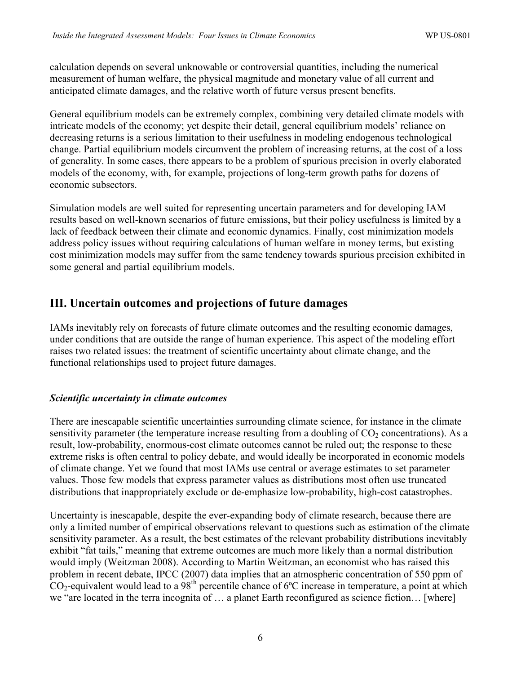calculation depends on several unknowable or controversial quantities, including the numerical measurement of human welfare, the physical magnitude and monetary value of all current and anticipated climate damages, and the relative worth of future versus present benefits.

General equilibrium models can be extremely complex, combining very detailed climate models with intricate models of the economy; yet despite their detail, general equilibrium models' reliance on decreasing returns is a serious limitation to their usefulness in modeling endogenous technological change. Partial equilibrium models circumvent the problem of increasing returns, at the cost of a loss of generality. In some cases, there appears to be a problem of spurious precision in overly elaborated models of the economy, with, for example, projections of long-term growth paths for dozens of economic subsectors.

Simulation models are well suited for representing uncertain parameters and for developing IAM results based on well-known scenarios of future emissions, but their policy usefulness is limited by a lack of feedback between their climate and economic dynamics. Finally, cost minimization models address policy issues without requiring calculations of human welfare in money terms, but existing cost minimization models may suffer from the same tendency towards spurious precision exhibited in some general and partial equilibrium models.

### **III. Uncertain outcomes and projections of future damages**

IAMs inevitably rely on forecasts of future climate outcomes and the resulting economic damages, under conditions that are outside the range of human experience. This aspect of the modeling effort raises two related issues: the treatment of scientific uncertainty about climate change, and the functional relationships used to project future damages.

### *Scientific uncertainty in climate outcomes*

There are inescapable scientific uncertainties surrounding climate science, for instance in the climate sensitivity parameter (the temperature increase resulting from a doubling of  $CO<sub>2</sub>$  concentrations). As a result, low-probability, enormous-cost climate outcomes cannot be ruled out; the response to these extreme risks is often central to policy debate, and would ideally be incorporated in economic models of climate change. Yet we found that most IAMs use central or average estimates to set parameter values. Those few models that express parameter values as distributions most often use truncated distributions that inappropriately exclude or de-emphasize low-probability, high-cost catastrophes.

Uncertainty is inescapable, despite the ever-expanding body of climate research, because there are only a limited number of empirical observations relevant to questions such as estimation of the climate sensitivity parameter. As a result, the best estimates of the relevant probability distributions inevitably exhibit "fat tails," meaning that extreme outcomes are much more likely than a normal distribution would imply (Weitzman 2008). According to Martin Weitzman, an economist who has raised this problem in recent debate, IPCC (2007) data implies that an atmospheric concentration of 550 ppm of  $CO<sub>2</sub>$ -equivalent would lead to a 98<sup>th</sup> percentile chance of 6<sup>o</sup>C increase in temperature, a point at which we "are located in the terra incognita of … a planet Earth reconfigured as science fiction… [where]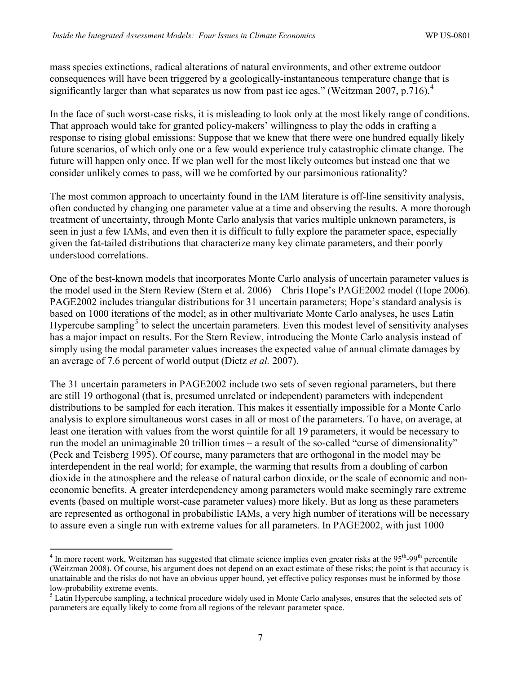mass species extinctions, radical alterations of natural environments, and other extreme outdoor consequences will have been triggered by a geologically-instantaneous temperature change that is significantly larger than what separates us now from past ice ages." (Weitzman 2007, p.716).<sup>[4](#page-7-0)</sup>

In the face of such worst-case risks, it is misleading to look only at the most likely range of conditions. That approach would take for granted policy-makers' willingness to play the odds in crafting a response to rising global emissions: Suppose that we knew that there were one hundred equally likely future scenarios, of which only one or a few would experience truly catastrophic climate change. The future will happen only once. If we plan well for the most likely outcomes but instead one that we consider unlikely comes to pass, will we be comforted by our parsimonious rationality?

The most common approach to uncertainty found in the IAM literature is off-line sensitivity analysis, often conducted by changing one parameter value at a time and observing the results. A more thorough treatment of uncertainty, through Monte Carlo analysis that varies multiple unknown parameters, is seen in just a few IAMs, and even then it is difficult to fully explore the parameter space, especially given the fat-tailed distributions that characterize many key climate parameters, and their poorly understood correlations.

One of the best-known models that incorporates Monte Carlo analysis of uncertain parameter values is the model used in the Stern Review (Stern et al. 2006) – Chris Hope's PAGE2002 model (Hope 2006). PAGE2002 includes triangular distributions for 31 uncertain parameters; Hope's standard analysis is based on 1000 iterations of the model; as in other multivariate Monte Carlo analyses, he uses Latin Hypercube sampling<sup>[5](#page-7-1)</sup> to select the uncertain parameters. Even this modest level of sensitivity analyses has a major impact on results. For the Stern Review, introducing the Monte Carlo analysis instead of simply using the modal parameter values increases the expected value of annual climate damages by an average of 7.6 percent of world output (Dietz *et al.* 2007).

The 31 uncertain parameters in PAGE2002 include two sets of seven regional parameters, but there are still 19 orthogonal (that is, presumed unrelated or independent) parameters with independent distributions to be sampled for each iteration. This makes it essentially impossible for a Monte Carlo analysis to explore simultaneous worst cases in all or most of the parameters. To have, on average, at least one iteration with values from the worst quintile for all 19 parameters, it would be necessary to run the model an unimaginable 20 trillion times – a result of the so-called "curse of dimensionality" (Peck and Teisberg 1995). Of course, many parameters that are orthogonal in the model may be interdependent in the real world; for example, the warming that results from a doubling of carbon dioxide in the atmosphere and the release of natural carbon dioxide, or the scale of economic and noneconomic benefits. A greater interdependency among parameters would make seemingly rare extreme events (based on multiple worst-case parameter values) more likely. But as long as these parameters are represented as orthogonal in probabilistic IAMs, a very high number of iterations will be necessary to assure even a single run with extreme values for all parameters. In PAGE2002, with just 1000

<span id="page-7-0"></span> $4$  In more recent work, Weitzman has suggested that climate science implies even greater risks at the 95<sup>th</sup>-99<sup>th</sup> percentile (Weitzman 2008). Of course, his argument does not depend on an exact estimate of these risks; the point is that accuracy is unattainable and the risks do not have an obvious upper bound, yet effective policy responses must be informed by those low-probability extreme events.<br><sup>5</sup> Latin Hypercube sampling, a technical procedure widely used in Monte Carlo analyses, ensures that the selected sets of

<span id="page-7-1"></span>parameters are equally likely to come from all regions of the relevant parameter space.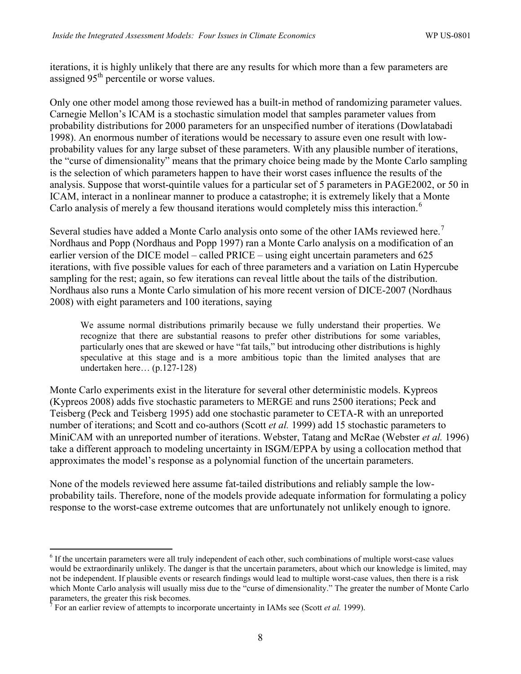iterations, it is highly unlikely that there are any results for which more than a few parameters are assigned  $95<sup>th</sup>$  percentile or worse values.

Only one other model among those reviewed has a built-in method of randomizing parameter values. Carnegie Mellon's ICAM is a stochastic simulation model that samples parameter values from probability distributions for 2000 parameters for an unspecified number of iterations (Dowlatabadi 1998). An enormous number of iterations would be necessary to assure even one result with lowprobability values for any large subset of these parameters. With any plausible number of iterations, the "curse of dimensionality" means that the primary choice being made by the Monte Carlo sampling is the selection of which parameters happen to have their worst cases influence the results of the analysis. Suppose that worst-quintile values for a particular set of 5 parameters in PAGE2002, or 50 in ICAM, interact in a nonlinear manner to produce a catastrophe; it is extremely likely that a Monte Carlo analysis of merely a few thousand iterations would completely miss this interaction.<sup>[6](#page-8-0)</sup>

Several studies have added a Monte Carlo analysis onto some of the other IAMs reviewed here.<sup>[7](#page-8-1)</sup> Nordhaus and Popp (Nordhaus and Popp 1997) ran a Monte Carlo analysis on a modification of an earlier version of the DICE model – called PRICE – using eight uncertain parameters and 625 iterations, with five possible values for each of three parameters and a variation on Latin Hypercube sampling for the rest; again, so few iterations can reveal little about the tails of the distribution. Nordhaus also runs a Monte Carlo simulation of his more recent version of DICE-2007 (Nordhaus 2008) with eight parameters and 100 iterations, saying

We assume normal distributions primarily because we fully understand their properties. We recognize that there are substantial reasons to prefer other distributions for some variables, particularly ones that are skewed or have "fat tails," but introducing other distributions is highly speculative at this stage and is a more ambitious topic than the limited analyses that are undertaken here… (p.127-128)

Monte Carlo experiments exist in the literature for several other deterministic models. Kypreos (Kypreos 2008) adds five stochastic parameters to MERGE and runs 2500 iterations; Peck and Teisberg (Peck and Teisberg 1995) add one stochastic parameter to CETA-R with an unreported number of iterations; and Scott and co-authors (Scott *et al.* 1999) add 15 stochastic parameters to MiniCAM with an unreported number of iterations. Webster, Tatang and McRae (Webster *et al.* 1996) take a different approach to modeling uncertainty in ISGM/EPPA by using a collocation method that approximates the model's response as a polynomial function of the uncertain parameters.

None of the models reviewed here assume fat-tailed distributions and reliably sample the lowprobability tails. Therefore, none of the models provide adequate information for formulating a policy response to the worst-case extreme outcomes that are unfortunately not unlikely enough to ignore.

<span id="page-8-0"></span> <sup>6</sup> If the uncertain parameters were all truly independent of each other, such combinations of multiple worst-case values would be extraordinarily unlikely. The danger is that the uncertain parameters, about which our knowledge is limited, may not be independent. If plausible events or research findings would lead to multiple worst-case values, then there is a risk which Monte Carlo analysis will usually miss due to the "curse of dimensionality." The greater the number of Monte Carlo parameters, the greater this risk becomes.

<span id="page-8-1"></span> $<sup>7</sup>$  For an earlier review of attempts to incorporate uncertainty in IAMs see (Scott *et al.* 1999).</sup>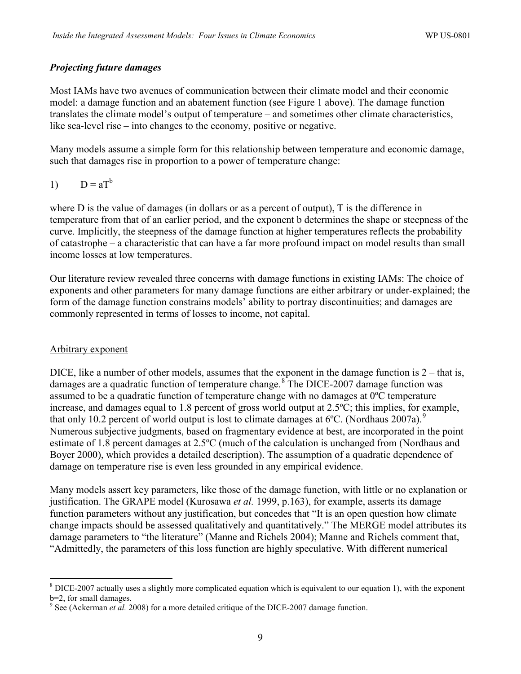### *Projecting future damages*

Most IAMs have two avenues of communication between their climate model and their economic model: a damage function and an abatement function (see Figure 1 above). The damage function translates the climate model's output of temperature – and sometimes other climate characteristics, like sea-level rise – into changes to the economy, positive or negative.

Many models assume a simple form for this relationship between temperature and economic damage, such that damages rise in proportion to a power of temperature change:

$$
1) \qquad D = aT^b
$$

where D is the value of damages (in dollars or as a percent of output), T is the difference in temperature from that of an earlier period, and the exponent b determines the shape or steepness of the curve. Implicitly, the steepness of the damage function at higher temperatures reflects the probability of catastrophe – a characteristic that can have a far more profound impact on model results than small income losses at low temperatures.

Our literature review revealed three concerns with damage functions in existing IAMs: The choice of exponents and other parameters for many damage functions are either arbitrary or under-explained; the form of the damage function constrains models' ability to portray discontinuities; and damages are commonly represented in terms of losses to income, not capital.

### Arbitrary exponent

DICE, like a number of other models, assumes that the exponent in the damage function is 2 – that is, damages are a quadratic function of temperature change.<sup>[8](#page-9-0)</sup> The DICE-2007 damage function was assumed to be a quadratic function of temperature change with no damages at 0ºC temperature increase, and damages equal to 1.8 percent of gross world output at 2.5ºC; this implies, for example, that only 10.2 percent of world output is lost to climate damages at  $6^{\circ}$ C. (Nordhaus 2007a).<sup>[9](#page-9-1)</sup> Numerous subjective judgments, based on fragmentary evidence at best, are incorporated in the point estimate of 1.8 percent damages at 2.5ºC (much of the calculation is unchanged from (Nordhaus and Boyer 2000), which provides a detailed description). The assumption of a quadratic dependence of damage on temperature rise is even less grounded in any empirical evidence.

Many models assert key parameters, like those of the damage function, with little or no explanation or justification. The GRAPE model (Kurosawa *et al.* 1999, p.163), for example, asserts its damage function parameters without any justification, but concedes that "It is an open question how climate change impacts should be assessed qualitatively and quantitatively." The MERGE model attributes its damage parameters to "the literature" (Manne and Richels 2004); Manne and Richels comment that, "Admittedly, the parameters of this loss function are highly speculative. With different numerical

<span id="page-9-0"></span> $8$  DICE-2007 actually uses a slightly more complicated equation which is equivalent to our equation 1), with the exponent b=2, for small damages.

<span id="page-9-1"></span><sup>&</sup>lt;sup>9</sup> See (Ackerman *et al.* 2008) for a more detailed critique of the DICE-2007 damage function.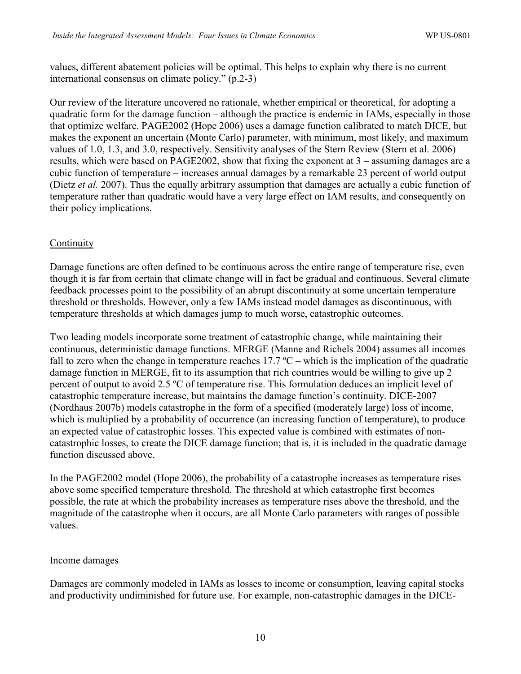values, different abatement policies will be optimal. This helps to explain why there is no current international consensus on climate policy." (p.2-3)

Our review of the literature uncovered no rationale, whether empirical or theoretical, for adopting a quadratic form for the damage function – although the practice is endemic in IAMs, especially in those that optimize welfare. PAGE2002 (Hope 2006) uses a damage function calibrated to match DICE, but makes the exponent an uncertain (Monte Carlo) parameter, with minimum, most likely, and maximum values of 1.0, 1.3, and 3.0, respectively. Sensitivity analyses of the Stern Review (Stern et al. 2006) results, which were based on PAGE2002, show that fixing the exponent at 3 – assuming damages are a cubic function of temperature – increases annual damages by a remarkable 23 percent of world output (Dietz *et al.* 2007). Thus the equally arbitrary assumption that damages are actually a cubic function of temperature rather than quadratic would have a very large effect on IAM results, and consequently on their policy implications.

### **Continuity**

Damage functions are often defined to be continuous across the entire range of temperature rise, even though it is far from certain that climate change will in fact be gradual and continuous. Several climate feedback processes point to the possibility of an abrupt discontinuity at some uncertain temperature threshold or thresholds. However, only a few IAMs instead model damages as discontinuous, with temperature thresholds at which damages jump to much worse, catastrophic outcomes.

Two leading models incorporate some treatment of catastrophic change, while maintaining their continuous, deterministic damage functions. MERGE (Manne and Richels 2004) assumes all incomes fall to zero when the change in temperature reaches  $17.7 \text{ °C}$  – which is the implication of the quadratic damage function in MERGE, fit to its assumption that rich countries would be willing to give up 2 percent of output to avoid 2.5 ºC of temperature rise. This formulation deduces an implicit level of catastrophic temperature increase, but maintains the damage function's continuity. DICE-2007 (Nordhaus 2007b) models catastrophe in the form of a specified (moderately large) loss of income, which is multiplied by a probability of occurrence (an increasing function of temperature), to produce an expected value of catastrophic losses. This expected value is combined with estimates of noncatastrophic losses, to create the DICE damage function; that is, it is included in the quadratic damage function discussed above.

In the PAGE2002 model (Hope 2006), the probability of a catastrophe increases as temperature rises above some specified temperature threshold. The threshold at which catastrophe first becomes possible, the rate at which the probability increases as temperature rises above the threshold, and the magnitude of the catastrophe when it occurs, are all Monte Carlo parameters with ranges of possible values.

#### Income damages

Damages are commonly modeled in IAMs as losses to income or consumption, leaving capital stocks and productivity undiminished for future use. For example, non-catastrophic damages in the DICE-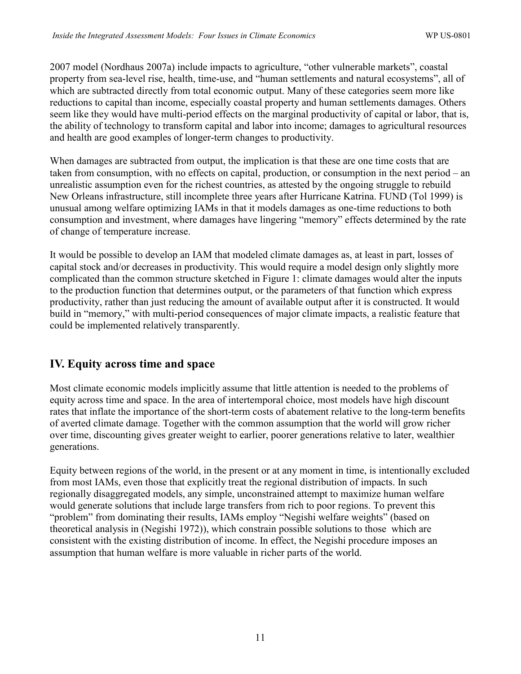2007 model (Nordhaus 2007a) include impacts to agriculture, "other vulnerable markets", coastal property from sea-level rise, health, time-use, and "human settlements and natural ecosystems", all of which are subtracted directly from total economic output. Many of these categories seem more like reductions to capital than income, especially coastal property and human settlements damages. Others seem like they would have multi-period effects on the marginal productivity of capital or labor, that is, the ability of technology to transform capital and labor into income; damages to agricultural resources and health are good examples of longer-term changes to productivity.

When damages are subtracted from output, the implication is that these are one time costs that are taken from consumption, with no effects on capital, production, or consumption in the next period – an unrealistic assumption even for the richest countries, as attested by the ongoing struggle to rebuild New Orleans infrastructure, still incomplete three years after Hurricane Katrina. FUND (Tol 1999) is unusual among welfare optimizing IAMs in that it models damages as one-time reductions to both consumption and investment, where damages have lingering "memory" effects determined by the rate of change of temperature increase.

It would be possible to develop an IAM that modeled climate damages as, at least in part, losses of capital stock and/or decreases in productivity. This would require a model design only slightly more complicated than the common structure sketched in Figure 1: climate damages would alter the inputs to the production function that determines output, or the parameters of that function which express productivity, rather than just reducing the amount of available output after it is constructed. It would build in "memory," with multi-period consequences of major climate impacts, a realistic feature that could be implemented relatively transparently.

# **IV. Equity across time and space**

Most climate economic models implicitly assume that little attention is needed to the problems of equity across time and space. In the area of intertemporal choice, most models have high discount rates that inflate the importance of the short-term costs of abatement relative to the long-term benefits of averted climate damage. Together with the common assumption that the world will grow richer over time, discounting gives greater weight to earlier, poorer generations relative to later, wealthier generations.

Equity between regions of the world, in the present or at any moment in time, is intentionally excluded from most IAMs, even those that explicitly treat the regional distribution of impacts. In such regionally disaggregated models, any simple, unconstrained attempt to maximize human welfare would generate solutions that include large transfers from rich to poor regions. To prevent this "problem" from dominating their results, IAMs employ "Negishi welfare weights" (based on theoretical analysis in (Negishi 1972)), which constrain possible solutions to those which are consistent with the existing distribution of income. In effect, the Negishi procedure imposes an assumption that human welfare is more valuable in richer parts of the world.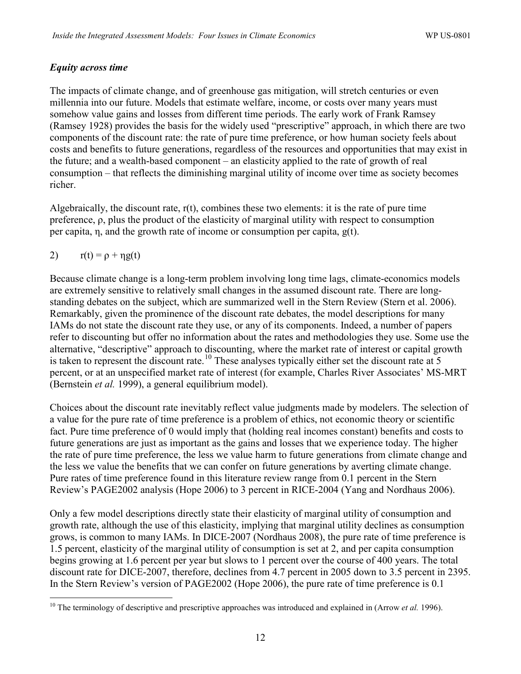#### *Equity across time*

The impacts of climate change, and of greenhouse gas mitigation, will stretch centuries or even millennia into our future. Models that estimate welfare, income, or costs over many years must somehow value gains and losses from different time periods. The early work of Frank Ramsey (Ramsey 1928) provides the basis for the widely used "prescriptive" approach, in which there are two components of the discount rate: the rate of pure time preference, or how human society feels about costs and benefits to future generations, regardless of the resources and opportunities that may exist in the future; and a wealth-based component – an elasticity applied to the rate of growth of real consumption – that reflects the diminishing marginal utility of income over time as society becomes richer.

Algebraically, the discount rate,  $r(t)$ , combines these two elements: it is the rate of pure time preference, ρ, plus the product of the elasticity of marginal utility with respect to consumption per capita, η, and the growth rate of income or consumption per capita, g(t).

$$
2) \qquad r(t) = \rho + \eta g(t)
$$

Because climate change is a long-term problem involving long time lags, climate-economics models are extremely sensitive to relatively small changes in the assumed discount rate. There are longstanding debates on the subject, which are summarized well in the Stern Review (Stern et al. 2006). Remarkably, given the prominence of the discount rate debates, the model descriptions for many IAMs do not state the discount rate they use, or any of its components. Indeed, a number of papers refer to discounting but offer no information about the rates and methodologies they use. Some use the alternative, "descriptive" approach to discounting, where the market rate of interest or capital growth is taken to represent the discount rate.<sup>[10](#page-12-0)</sup> These analyses typically either set the discount rate at 5 percent, or at an unspecified market rate of interest (for example, Charles River Associates' MS-MRT (Bernstein *et al.* 1999), a general equilibrium model).

Choices about the discount rate inevitably reflect value judgments made by modelers. The selection of a value for the pure rate of time preference is a problem of ethics, not economic theory or scientific fact. Pure time preference of 0 would imply that (holding real incomes constant) benefits and costs to future generations are just as important as the gains and losses that we experience today. The higher the rate of pure time preference, the less we value harm to future generations from climate change and the less we value the benefits that we can confer on future generations by averting climate change. Pure rates of time preference found in this literature review range from 0.1 percent in the Stern Review's PAGE2002 analysis (Hope 2006) to 3 percent in RICE-2004 (Yang and Nordhaus 2006).

Only a few model descriptions directly state their elasticity of marginal utility of consumption and growth rate, although the use of this elasticity, implying that marginal utility declines as consumption grows, is common to many IAMs. In DICE-2007 (Nordhaus 2008), the pure rate of time preference is 1.5 percent, elasticity of the marginal utility of consumption is set at 2, and per capita consumption begins growing at 1.6 percent per year but slows to 1 percent over the course of 400 years. The total discount rate for DICE-2007, therefore, declines from 4.7 percent in 2005 down to 3.5 percent in 2395. In the Stern Review's version of PAGE2002 (Hope 2006), the pure rate of time preference is 0.1

<span id="page-12-0"></span><sup>&</sup>lt;sup>10</sup> The terminology of descriptive and prescriptive approaches was introduced and explained in (Arrow *et al.* 1996).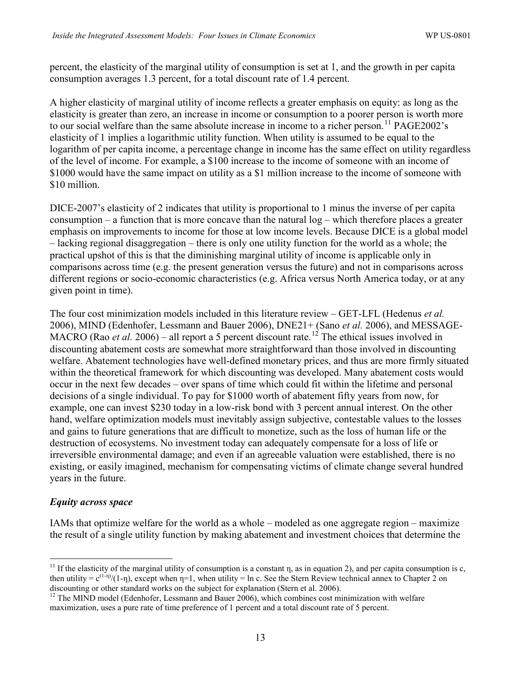percent, the elasticity of the marginal utility of consumption is set at 1, and the growth in per capita consumption averages 1.3 percent, for a total discount rate of 1.4 percent.

A higher elasticity of marginal utility of income reflects a greater emphasis on equity: as long as the elasticity is greater than zero, an increase in income or consumption to a poorer person is worth more to our social welfare than the same absolute increase in income to a richer person.<sup>[11](#page-13-0)</sup> PAGE2002's elasticity of 1 implies a logarithmic utility function. When utility is assumed to be equal to the logarithm of per capita income, a percentage change in income has the same effect on utility regardless of the level of income. For example, a \$100 increase to the income of someone with an income of \$1000 would have the same impact on utility as a \$1 million increase to the income of someone with \$10 million.

DICE-2007's elasticity of 2 indicates that utility is proportional to 1 minus the inverse of per capita consumption – a function that is more concave than the natural log – which therefore places a greater emphasis on improvements to income for those at low income levels. Because DICE is a global model – lacking regional disaggregation – there is only one utility function for the world as a whole; the practical upshot of this is that the diminishing marginal utility of income is applicable only in comparisons across time (e.g. the present generation versus the future) and not in comparisons across different regions or socio-economic characteristics (e.g. Africa versus North America today, or at any given point in time).

The four cost minimization models included in this literature review – GET-LFL (Hedenus *et al.* 2006), MIND (Edenhofer, Lessmann and Bauer 2006), DNE21+ (Sano *et al.* 2006), and MESSAGE-MACRO (Rao *et al.* 2006) – all report a 5 percent discount rate.<sup>[12](#page-13-1)</sup> The ethical issues involved in discounting abatement costs are somewhat more straightforward than those involved in discounting welfare. Abatement technologies have well-defined monetary prices, and thus are more firmly situated within the theoretical framework for which discounting was developed. Many abatement costs would occur in the next few decades – over spans of time which could fit within the lifetime and personal decisions of a single individual. To pay for \$1000 worth of abatement fifty years from now, for example, one can invest \$230 today in a low-risk bond with 3 percent annual interest. On the other hand, welfare optimization models must inevitably assign subjective, contestable values to the losses and gains to future generations that are difficult to monetize, such as the loss of human life or the destruction of ecosystems. No investment today can adequately compensate for a loss of life or irreversible environmental damage; and even if an agreeable valuation were established, there is no existing, or easily imagined, mechanism for compensating victims of climate change several hundred years in the future.

### *Equity across space*

IAMs that optimize welfare for the world as a whole – modeled as one aggregate region – maximize the result of a single utility function by making abatement and investment choices that determine the

<span id="page-13-0"></span><sup>&</sup>lt;sup>11</sup> If the elasticity of the marginal utility of consumption is a constant  $\eta$ , as in equation 2), and per capita consumption is c, then utility =  $c^{(1-\eta)}$ /(1-η), except when  $\eta=1$ , when utility = ln c. See the Stern Review technical annex to Chapter 2 on discounting or other standard works on the subject for explanation (Stern et al. 2006).

<span id="page-13-1"></span> $^{12}$  The MIND model (Edenhofer, Lessmann and Bauer 2006), which combines cost minimization with welfare maximization, uses a pure rate of time preference of 1 percent and a total discount rate of 5 percent.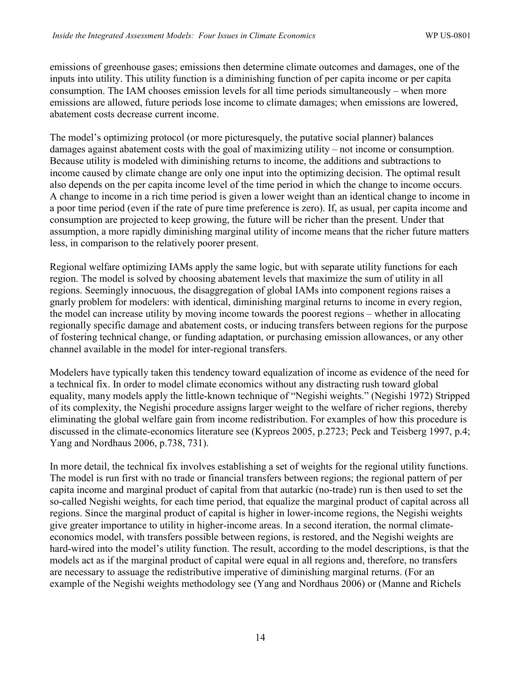emissions of greenhouse gases; emissions then determine climate outcomes and damages, one of the inputs into utility. This utility function is a diminishing function of per capita income or per capita consumption. The IAM chooses emission levels for all time periods simultaneously – when more emissions are allowed, future periods lose income to climate damages; when emissions are lowered, abatement costs decrease current income.

The model's optimizing protocol (or more picturesquely, the putative social planner) balances damages against abatement costs with the goal of maximizing utility – not income or consumption. Because utility is modeled with diminishing returns to income, the additions and subtractions to income caused by climate change are only one input into the optimizing decision. The optimal result also depends on the per capita income level of the time period in which the change to income occurs. A change to income in a rich time period is given a lower weight than an identical change to income in a poor time period (even if the rate of pure time preference is zero). If, as usual, per capita income and consumption are projected to keep growing, the future will be richer than the present. Under that assumption, a more rapidly diminishing marginal utility of income means that the richer future matters less, in comparison to the relatively poorer present.

Regional welfare optimizing IAMs apply the same logic, but with separate utility functions for each region. The model is solved by choosing abatement levels that maximize the sum of utility in all regions. Seemingly innocuous, the disaggregation of global IAMs into component regions raises a gnarly problem for modelers: with identical, diminishing marginal returns to income in every region, the model can increase utility by moving income towards the poorest regions – whether in allocating regionally specific damage and abatement costs, or inducing transfers between regions for the purpose of fostering technical change, or funding adaptation, or purchasing emission allowances, or any other channel available in the model for inter-regional transfers.

Modelers have typically taken this tendency toward equalization of income as evidence of the need for a technical fix. In order to model climate economics without any distracting rush toward global equality, many models apply the little-known technique of "Negishi weights." (Negishi 1972) Stripped of its complexity, the Negishi procedure assigns larger weight to the welfare of richer regions, thereby eliminating the global welfare gain from income redistribution. For examples of how this procedure is discussed in the climate-economics literature see (Kypreos 2005, p.2723; Peck and Teisberg 1997, p.4; Yang and Nordhaus 2006, p.738, 731).

In more detail, the technical fix involves establishing a set of weights for the regional utility functions. The model is run first with no trade or financial transfers between regions; the regional pattern of per capita income and marginal product of capital from that autarkic (no-trade) run is then used to set the so-called Negishi weights, for each time period, that equalize the marginal product of capital across all regions. Since the marginal product of capital is higher in lower-income regions, the Negishi weights give greater importance to utility in higher-income areas. In a second iteration, the normal climateeconomics model, with transfers possible between regions, is restored, and the Negishi weights are hard-wired into the model's utility function. The result, according to the model descriptions, is that the models act as if the marginal product of capital were equal in all regions and, therefore, no transfers are necessary to assuage the redistributive imperative of diminishing marginal returns. (For an example of the Negishi weights methodology see (Yang and Nordhaus 2006) or (Manne and Richels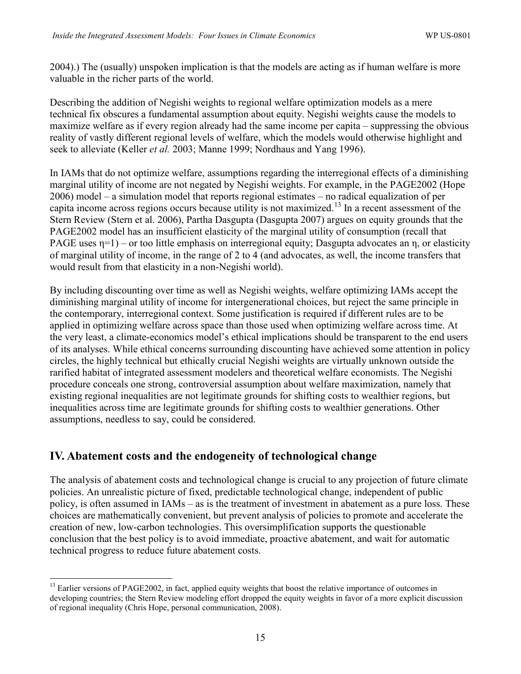2004).) The (usually) unspoken implication is that the models are acting as if human welfare is more valuable in the richer parts of the world.

Describing the addition of Negishi weights to regional welfare optimization models as a mere technical fix obscures a fundamental assumption about equity. Negishi weights cause the models to maximize welfare as if every region already had the same income per capita – suppressing the obvious reality of vastly different regional levels of welfare, which the models would otherwise highlight and seek to alleviate (Keller *et al.* 2003; Manne 1999; Nordhaus and Yang 1996).

In IAMs that do not optimize welfare, assumptions regarding the interregional effects of a diminishing marginal utility of income are not negated by Negishi weights. For example, in the PAGE2002 (Hope 2006) model – a simulation model that reports regional estimates – no radical equalization of per capita income across regions occurs because utility is not maximized.[13](#page-15-0) In a recent assessment of the Stern Review (Stern et al. 2006), Partha Dasgupta (Dasgupta 2007) argues on equity grounds that the PAGE2002 model has an insufficient elasticity of the marginal utility of consumption (recall that PAGE uses  $\eta$ =1) – or too little emphasis on interregional equity; Dasgupta advocates an  $\eta$ , or elasticity of marginal utility of income, in the range of 2 to 4 (and advocates, as well, the income transfers that would result from that elasticity in a non-Negishi world).

By including discounting over time as well as Negishi weights, welfare optimizing IAMs accept the diminishing marginal utility of income for intergenerational choices, but reject the same principle in the contemporary, interregional context. Some justification is required if different rules are to be applied in optimizing welfare across space than those used when optimizing welfare across time. At the very least, a climate-economics model's ethical implications should be transparent to the end users of its analyses. While ethical concerns surrounding discounting have achieved some attention in policy circles, the highly technical but ethically crucial Negishi weights are virtually unknown outside the rarified habitat of integrated assessment modelers and theoretical welfare economists. The Negishi procedure conceals one strong, controversial assumption about welfare maximization, namely that existing regional inequalities are not legitimate grounds for shifting costs to wealthier regions, but inequalities across time are legitimate grounds for shifting costs to wealthier generations. Other assumptions, needless to say, could be considered.

# **IV. Abatement costs and the endogeneity of technological change**

The analysis of abatement costs and technological change is crucial to any projection of future climate policies. An unrealistic picture of fixed, predictable technological change, independent of public policy, is often assumed in IAMs – as is the treatment of investment in abatement as a pure loss. These choices are mathematically convenient, but prevent analysis of policies to promote and accelerate the creation of new, low-carbon technologies. This oversimplification supports the questionable conclusion that the best policy is to avoid immediate, proactive abatement, and wait for automatic technical progress to reduce future abatement costs.

<span id="page-15-0"></span><sup>&</sup>lt;sup>13</sup> Earlier versions of PAGE2002, in fact, applied equity weights that boost the relative importance of outcomes in developing countries; the Stern Review modeling effort dropped the equity weights in favor of a more explicit discussion of regional inequality (Chris Hope, personal communication, 2008).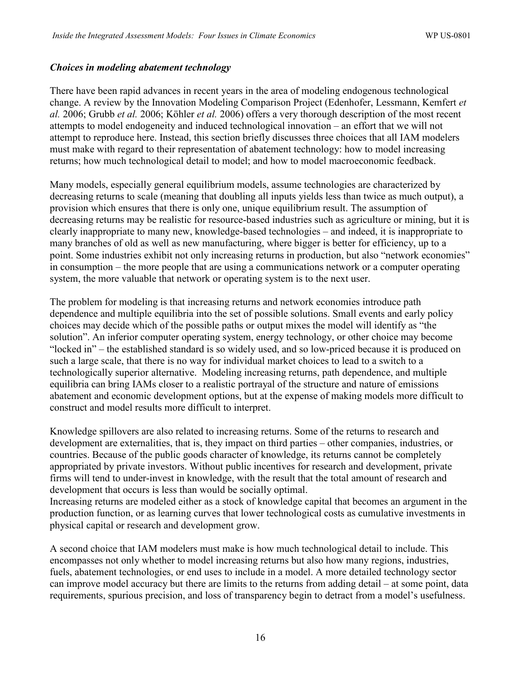#### *Choices in modeling abatement technology*

There have been rapid advances in recent years in the area of modeling endogenous technological change. A review by the Innovation Modeling Comparison Project (Edenhofer, Lessmann, Kemfert *et al.* 2006; Grubb *et al.* 2006; Köhler *et al.* 2006) offers a very thorough description of the most recent attempts to model endogeneity and induced technological innovation – an effort that we will not attempt to reproduce here. Instead, this section briefly discusses three choices that all IAM modelers must make with regard to their representation of abatement technology: how to model increasing returns; how much technological detail to model; and how to model macroeconomic feedback.

Many models, especially general equilibrium models, assume technologies are characterized by decreasing returns to scale (meaning that doubling all inputs yields less than twice as much output), a provision which ensures that there is only one, unique equilibrium result. The assumption of decreasing returns may be realistic for resource-based industries such as agriculture or mining, but it is clearly inappropriate to many new, knowledge-based technologies – and indeed, it is inappropriate to many branches of old as well as new manufacturing, where bigger is better for efficiency, up to a point. Some industries exhibit not only increasing returns in production, but also "network economies" in consumption – the more people that are using a communications network or a computer operating system, the more valuable that network or operating system is to the next user.

The problem for modeling is that increasing returns and network economies introduce path dependence and multiple equilibria into the set of possible solutions. Small events and early policy choices may decide which of the possible paths or output mixes the model will identify as "the solution". An inferior computer operating system, energy technology, or other choice may become "locked in" – the established standard is so widely used, and so low-priced because it is produced on such a large scale, that there is no way for individual market choices to lead to a switch to a technologically superior alternative. Modeling increasing returns, path dependence, and multiple equilibria can bring IAMs closer to a realistic portrayal of the structure and nature of emissions abatement and economic development options, but at the expense of making models more difficult to construct and model results more difficult to interpret.

Knowledge spillovers are also related to increasing returns. Some of the returns to research and development are externalities, that is, they impact on third parties – other companies, industries, or countries. Because of the public goods character of knowledge, its returns cannot be completely appropriated by private investors. Without public incentives for research and development, private firms will tend to under-invest in knowledge, with the result that the total amount of research and development that occurs is less than would be socially optimal.

Increasing returns are modeled either as a stock of knowledge capital that becomes an argument in the production function, or as learning curves that lower technological costs as cumulative investments in physical capital or research and development grow.

A second choice that IAM modelers must make is how much technological detail to include. This encompasses not only whether to model increasing returns but also how many regions, industries, fuels, abatement technologies, or end uses to include in a model. A more detailed technology sector can improve model accuracy but there are limits to the returns from adding detail – at some point, data requirements, spurious precision, and loss of transparency begin to detract from a model's usefulness.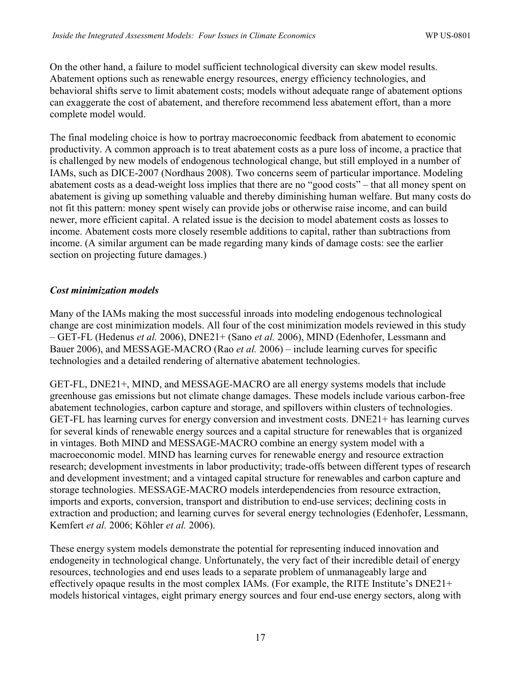On the other hand, a failure to model sufficient technological diversity can skew model results. Abatement options such as renewable energy resources, energy efficiency technologies, and behavioral shifts serve to limit abatement costs; models without adequate range of abatement options can exaggerate the cost of abatement, and therefore recommend less abatement effort, than a more complete model would.

The final modeling choice is how to portray macroeconomic feedback from abatement to economic productivity. A common approach is to treat abatement costs as a pure loss of income, a practice that is challenged by new models of endogenous technological change, but still employed in a number of IAMs, such as DICE-2007 (Nordhaus 2008). Two concerns seem of particular importance. Modeling abatement costs as a dead-weight loss implies that there are no "good costs" – that all money spent on abatement is giving up something valuable and thereby diminishing human welfare. But many costs do not fit this pattern: money spent wisely can provide jobs or otherwise raise income, and can build newer, more efficient capital. A related issue is the decision to model abatement costs as losses to income. Abatement costs more closely resemble additions to capital, rather than subtractions from income. (A similar argument can be made regarding many kinds of damage costs: see the earlier section on projecting future damages.)

### *Cost minimization models*

Many of the IAMs making the most successful inroads into modeling endogenous technological change are cost minimization models. All four of the cost minimization models reviewed in this study – GET-FL (Hedenus *et al.* 2006), DNE21+ (Sano *et al.* 2006), MIND (Edenhofer, Lessmann and Bauer 2006), and MESSAGE-MACRO (Rao *et al.* 2006) – include learning curves for specific technologies and a detailed rendering of alternative abatement technologies.

GET-FL, DNE21+, MIND, and MESSAGE-MACRO are all energy systems models that include greenhouse gas emissions but not climate change damages. These models include various carbon-free abatement technologies, carbon capture and storage, and spillovers within clusters of technologies. GET-FL has learning curves for energy conversion and investment costs. DNE21+ has learning curves for several kinds of renewable energy sources and a capital structure for renewables that is organized in vintages. Both MIND and MESSAGE-MACRO combine an energy system model with a macroeconomic model. MIND has learning curves for renewable energy and resource extraction research; development investments in labor productivity; trade-offs between different types of research and development investment; and a vintaged capital structure for renewables and carbon capture and storage technologies. MESSAGE-MACRO models interdependencies from resource extraction, imports and exports, conversion, transport and distribution to end-use services; declining costs in extraction and production; and learning curves for several energy technologies (Edenhofer, Lessmann, Kemfert *et al.* 2006; Köhler *et al.* 2006).

These energy system models demonstrate the potential for representing induced innovation and endogeneity in technological change. Unfortunately, the very fact of their incredible detail of energy resources, technologies and end uses leads to a separate problem of unmanageably large and effectively opaque results in the most complex IAMs. (For example, the RITE Institute's DNE21+ models historical vintages, eight primary energy sources and four end-use energy sectors, along with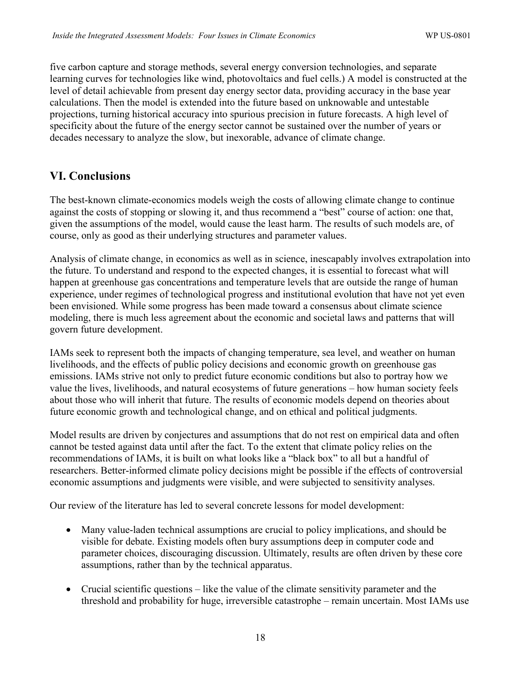five carbon capture and storage methods, several energy conversion technologies, and separate learning curves for technologies like wind, photovoltaics and fuel cells.) A model is constructed at the level of detail achievable from present day energy sector data, providing accuracy in the base year calculations. Then the model is extended into the future based on unknowable and untestable projections, turning historical accuracy into spurious precision in future forecasts. A high level of specificity about the future of the energy sector cannot be sustained over the number of years or decades necessary to analyze the slow, but inexorable, advance of climate change.

### **VI. Conclusions**

The best-known climate-economics models weigh the costs of allowing climate change to continue against the costs of stopping or slowing it, and thus recommend a "best" course of action: one that, given the assumptions of the model, would cause the least harm. The results of such models are, of course, only as good as their underlying structures and parameter values.

Analysis of climate change, in economics as well as in science, inescapably involves extrapolation into the future. To understand and respond to the expected changes, it is essential to forecast what will happen at greenhouse gas concentrations and temperature levels that are outside the range of human experience, under regimes of technological progress and institutional evolution that have not yet even been envisioned. While some progress has been made toward a consensus about climate science modeling, there is much less agreement about the economic and societal laws and patterns that will govern future development.

IAMs seek to represent both the impacts of changing temperature, sea level, and weather on human livelihoods, and the effects of public policy decisions and economic growth on greenhouse gas emissions. IAMs strive not only to predict future economic conditions but also to portray how we value the lives, livelihoods, and natural ecosystems of future generations – how human society feels about those who will inherit that future. The results of economic models depend on theories about future economic growth and technological change, and on ethical and political judgments.

Model results are driven by conjectures and assumptions that do not rest on empirical data and often cannot be tested against data until after the fact. To the extent that climate policy relies on the recommendations of IAMs, it is built on what looks like a "black box" to all but a handful of researchers. Better-informed climate policy decisions might be possible if the effects of controversial economic assumptions and judgments were visible, and were subjected to sensitivity analyses.

Our review of the literature has led to several concrete lessons for model development:

- Many value-laden technical assumptions are crucial to policy implications, and should be visible for debate. Existing models often bury assumptions deep in computer code and parameter choices, discouraging discussion. Ultimately, results are often driven by these core assumptions, rather than by the technical apparatus.
- Crucial scientific questions like the value of the climate sensitivity parameter and the threshold and probability for huge, irreversible catastrophe – remain uncertain. Most IAMs use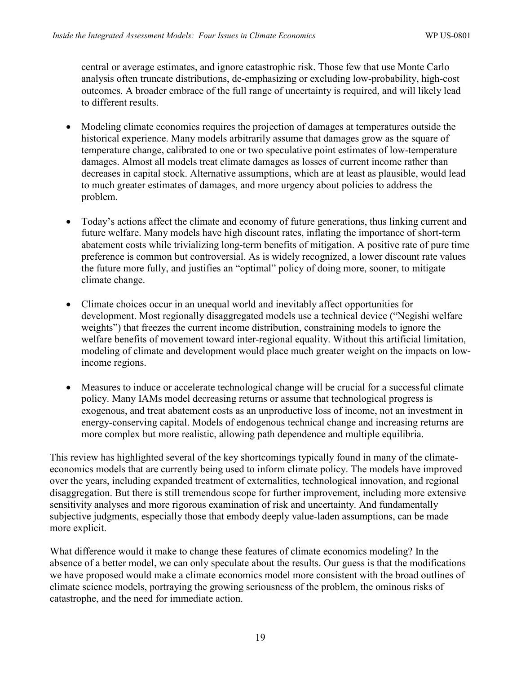central or average estimates, and ignore catastrophic risk. Those few that use Monte Carlo analysis often truncate distributions, de-emphasizing or excluding low-probability, high-cost outcomes. A broader embrace of the full range of uncertainty is required, and will likely lead to different results.

- Modeling climate economics requires the projection of damages at temperatures outside the historical experience. Many models arbitrarily assume that damages grow as the square of temperature change, calibrated to one or two speculative point estimates of low-temperature damages. Almost all models treat climate damages as losses of current income rather than decreases in capital stock. Alternative assumptions, which are at least as plausible, would lead to much greater estimates of damages, and more urgency about policies to address the problem.
- Today's actions affect the climate and economy of future generations, thus linking current and future welfare. Many models have high discount rates, inflating the importance of short-term abatement costs while trivializing long-term benefits of mitigation. A positive rate of pure time preference is common but controversial. As is widely recognized, a lower discount rate values the future more fully, and justifies an "optimal" policy of doing more, sooner, to mitigate climate change.
- Climate choices occur in an unequal world and inevitably affect opportunities for development. Most regionally disaggregated models use a technical device ("Negishi welfare weights") that freezes the current income distribution, constraining models to ignore the welfare benefits of movement toward inter-regional equality. Without this artificial limitation, modeling of climate and development would place much greater weight on the impacts on lowincome regions.
- Measures to induce or accelerate technological change will be crucial for a successful climate policy. Many IAMs model decreasing returns or assume that technological progress is exogenous, and treat abatement costs as an unproductive loss of income, not an investment in energy-conserving capital. Models of endogenous technical change and increasing returns are more complex but more realistic, allowing path dependence and multiple equilibria.

This review has highlighted several of the key shortcomings typically found in many of the climateeconomics models that are currently being used to inform climate policy. The models have improved over the years, including expanded treatment of externalities, technological innovation, and regional disaggregation. But there is still tremendous scope for further improvement, including more extensive sensitivity analyses and more rigorous examination of risk and uncertainty. And fundamentally subjective judgments, especially those that embody deeply value-laden assumptions, can be made more explicit.

What difference would it make to change these features of climate economics modeling? In the absence of a better model, we can only speculate about the results. Our guess is that the modifications we have proposed would make a climate economics model more consistent with the broad outlines of climate science models, portraying the growing seriousness of the problem, the ominous risks of catastrophe, and the need for immediate action.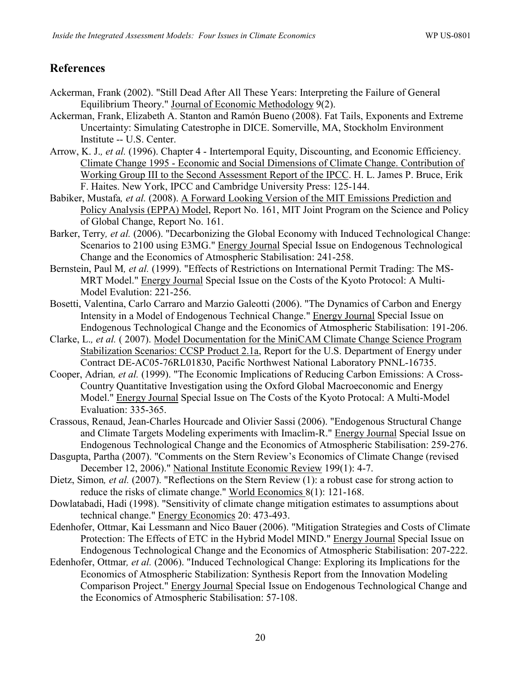# **References**

- Ackerman, Frank (2002). "Still Dead After All These Years: Interpreting the Failure of General Equilibrium Theory." Journal of Economic Methodology 9(2).
- Ackerman, Frank, Elizabeth A. Stanton and Ramón Bueno (2008). Fat Tails, Exponents and Extreme Uncertainty: Simulating Catestrophe in DICE. Somerville, MA, Stockholm Environment Institute -- U.S. Center.
- Arrow, K. J.*, et al.* (1996). Chapter 4 Intertemporal Equity, Discounting, and Economic Efficiency. Climate Change 1995 - Economic and Social Dimensions of Climate Change. Contribution of Working Group III to the Second Assessment Report of the IPCC. H. L. James P. Bruce, Erik F. Haites. New York, IPCC and Cambridge University Press: 125-144.
- Babiker, Mustafa*, et al.* (2008). A Forward Looking Version of the MIT Emissions Prediction and Policy Analysis (EPPA) Model, Report No. 161, MIT Joint Program on the Science and Policy of Global Change, Report No. 161.
- Barker, Terry*, et al.* (2006). "Decarbonizing the Global Economy with Induced Technological Change: Scenarios to 2100 using E3MG." Energy Journal Special Issue on Endogenous Technological Change and the Economics of Atmospheric Stabilisation: 241-258.
- Bernstein, Paul M*, et al.* (1999). "Effects of Restrictions on International Permit Trading: The MS-MRT Model." **Energy Journal** Special Issue on the Costs of the Kyoto Protocol: A Multi-Model Evalution: 221-256.
- Bosetti, Valentina, Carlo Carraro and Marzio Galeotti (2006). "The Dynamics of Carbon and Energy Intensity in a Model of Endogenous Technical Change." **Energy Journal Special Issue on** Endogenous Technological Change and the Economics of Atmospheric Stabilisation: 191-206.
- Clarke, L., et al. (2007). Model Documentation for the MiniCAM Climate Change Science Program Stabilization Scenarios: CCSP Product 2.1a, Report for the U.S. Department of Energy under Contract DE-AC05-76RL01830, Pacific Northwest National Laboratory PNNL-16735.
- Cooper, Adrian*, et al.* (1999). "The Economic Implications of Reducing Carbon Emissions: A Cross-Country Quantitative Investigation using the Oxford Global Macroeconomic and Energy Model." **Energy Journal Special Issue on The Costs of the Kyoto Protocal: A Multi-Model** Evaluation: 335-365.
- Crassous, Renaud, Jean-Charles Hourcade and Olivier Sassi (2006). "Endogenous Structural Change and Climate Targets Modeling experiments with Imaclim-R." **Energy Journal Special Issue on** Endogenous Technological Change and the Economics of Atmospheric Stabilisation: 259-276.
- Dasgupta, Partha (2007). "Comments on the Stern Review's Economics of Climate Change (revised December 12, 2006)." National Institute Economic Review 199(1): 4-7.
- Dietz, Simon, *et al.* (2007). "Reflections on the Stern Review (1): a robust case for strong action to reduce the risks of climate change." World Economics 8(1): 121-168.
- Dowlatabadi, Hadi (1998). "Sensitivity of climate change mitigation estimates to assumptions about technical change." Energy Economics 20: 473-493.
- Edenhofer, Ottmar, Kai Lessmann and Nico Bauer (2006). "Mitigation Strategies and Costs of Climate Protection: The Effects of ETC in the Hybrid Model MIND." Energy Journal Special Issue on Endogenous Technological Change and the Economics of Atmospheric Stabilisation: 207-222.
- Edenhofer, Ottmar*, et al.* (2006). "Induced Technological Change: Exploring its Implications for the Economics of Atmospheric Stabilization: Synthesis Report from the Innovation Modeling Comparison Project." **Energy Journal Special Issue on Endogenous Technological Change and** the Economics of Atmospheric Stabilisation: 57-108.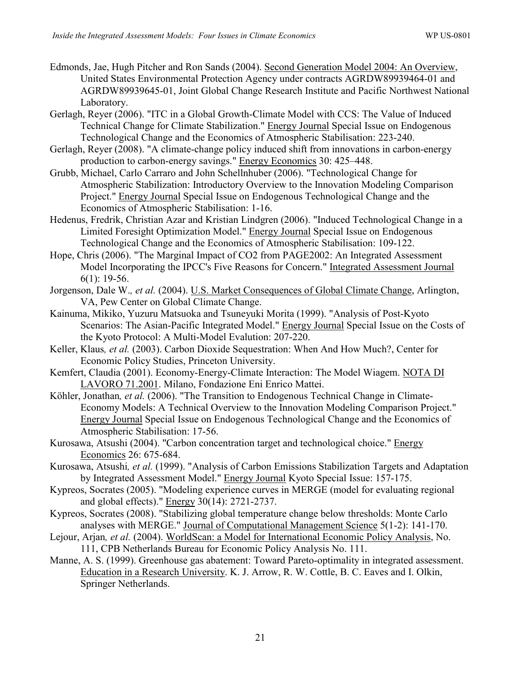- Edmonds, Jae, Hugh Pitcher and Ron Sands (2004). Second Generation Model 2004: An Overview, United States Environmental Protection Agency under contracts AGRDW89939464-01 and AGRDW89939645-01, Joint Global Change Research Institute and Pacific Northwest National Laboratory.
- Gerlagh, Reyer (2006). "ITC in a Global Growth-Climate Model with CCS: The Value of Induced Technical Change for Climate Stabilization." **Energy Journal Special Issue on Endogenous** Technological Change and the Economics of Atmospheric Stabilisation: 223-240.
- Gerlagh, Reyer (2008). "A climate-change policy induced shift from innovations in carbon-energy production to carbon-energy savings." Energy Economics 30: 425–448.
- Grubb, Michael, Carlo Carraro and John Schellnhuber (2006). "Technological Change for Atmospheric Stabilization: Introductory Overview to the Innovation Modeling Comparison Project." **Energy Journal Special Issue on Endogenous Technological Change and the** Economics of Atmospheric Stabilisation: 1-16.
- Hedenus, Fredrik, Christian Azar and Kristian Lindgren (2006). "Induced Technological Change in a Limited Foresight Optimization Model." Energy Journal Special Issue on Endogenous Technological Change and the Economics of Atmospheric Stabilisation: 109-122.
- Hope, Chris (2006). "The Marginal Impact of CO2 from PAGE2002: An Integrated Assessment Model Incorporating the IPCC's Five Reasons for Concern." Integrated Assessment Journal 6(1): 19-56.
- Jorgenson, Dale W., et al. (2004). U.S. Market Consequences of Global Climate Change, Arlington, VA, Pew Center on Global Climate Change.
- Kainuma, Mikiko, Yuzuru Matsuoka and Tsuneyuki Morita (1999). "Analysis of Post-Kyoto Scenarios: The Asian-Pacific Integrated Model." **Energy Journal Special Issue on the Costs of** the Kyoto Protocol: A Multi-Model Evalution: 207-220.
- Keller, Klaus*, et al.* (2003). Carbon Dioxide Sequestration: When And How Much?, Center for Economic Policy Studies, Princeton University.
- Kemfert, Claudia (2001). Economy-Energy-Climate Interaction: The Model Wiagem. NOTA DI LAVORO 71.2001 . Milano, Fondazione Eni Enrico Mattei.
- Köhler, Jonathan*, et al.* (2006). "The Transition to Endogenous Technical Change in Climate-Economy Models: A Technical Overview to the Innovation Modeling Comparison Project." Energy Journal Special Issue on Endogenous Technological Change and the Economics of Atmospheric Stabilisation: 17-56.
- Kurosawa, Atsushi (2004). "Carbon concentration target and technological choice." Energy Economics 26: 675-684.
- Kurosawa, Atsushi*, et al.* (1999). "Analysis of Carbon Emissions Stabilization Targets and Adaptation by Integrated Assessment Model." Energy Journal Kyoto Special Issue: 157-175.
- Kypreos, Socrates (2005). "Modeling experience curves in MERGE (model for evaluating regional and global effects)." Energy 30(14): 2721-2737.
- Kypreos, Socrates (2008). "Stabilizing global temperature change below thresholds: Monte Carlo analyses with MERGE." Journal of Computational Management Science 5(1-2): 141-170.
- Lejour, Arjan, et al. (2004). WorldScan: a Model for International Economic Policy Analysis, No. 111, CPB Netherlands Bureau for Economic Policy Analysis No. 111.
- Manne, A. S. (1999). Greenhouse gas abatement: Toward Pareto-optimality in integrated assessment. Education in a Research University. K. J. Arrow, R. W. Cottle, B. C. Eaves and I. Olkin, Springer Netherlands.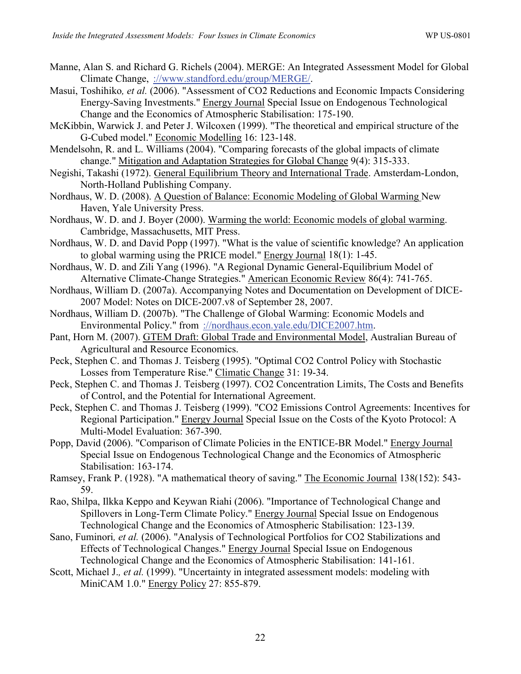- Manne, Alan S. and Richard G. Richels (2004). MERGE: An Integrated Assessment Model for Global Climate Change, [://www.standford.edu/group/MERGE/.](http://www.standford.edu/group/MERGE/)
- Masui, Toshihiko*, et al.* (2006). "Assessment of CO2 Reductions and Economic Impacts Considering Energy-Saving Investments." Energy Journal Special Issue on Endogenous Technological Change and the Economics of Atmospheric Stabilisation: 175-190.
- McKibbin, Warwick J. and Peter J. Wilcoxen (1999). "The theoretical and empirical structure of the G-Cubed model." Economic Modelling 16: 123-148.
- Mendelsohn, R. and L. Williams (2004). "Comparing forecasts of the global impacts of climate change." Mitigation and Adaptation Strategies for Global Change 9(4): 315-333.
- Negishi, Takashi (1972). General Equilibrium Theory and International Trade. Amsterdam-London, North-Holland Publishing Company.
- Nordhaus, W. D. (2008). A Question of Balance: Economic Modeling of Global Warming New Haven, Yale University Press.
- Nordhaus, W. D. and J. Boyer (2000). Warming the world: Economic models of global warming. Cambridge, Massachusetts, MIT Press.
- Nordhaus, W. D. and David Popp (1997). "What is the value of scientific knowledge? An application to global warming using the PRICE model." **Energy Journal 18(1): 1-45.**
- Nordhaus, W. D. and Zili Yang (1996). "A Regional Dynamic General-Equilibrium Model of Alternative Climate-Change Strategies." American Economic Review 86(4): 741-765.
- Nordhaus, William D. (2007a). Accompanying Notes and Documentation on Development of DICE-2007 Model: Notes on DICE-2007.v8 of September 28, 2007.
- Nordhaus, William D. (2007b). "The Challenge of Global Warming: Economic Models and Environmental Policy." from [://nordhaus.econ.yale.edu/DICE2007.htm.](http://nordhaus.econ.yale.edu/DICE2007.htm)
- Pant, Horn M. (2007). GTEM Draft: Global Trade and Environmental Model, Australian Bureau of Agricultural and Resource Economics.
- Peck, Stephen C. and Thomas J. Teisberg (1995). "Optimal CO2 Control Policy with Stochastic Losses from Temperature Rise." Climatic Change 31: 19-34.
- Peck, Stephen C. and Thomas J. Teisberg (1997). CO2 Concentration Limits, The Costs and Benefits of Control, and the Potential for International Agreement.
- Peck, Stephen C. and Thomas J. Teisberg (1999). "CO2 Emissions Control Agreements: Incentives for Regional Participation." **Energy Journal Special Issue on the Costs of the Kyoto Protocol: A** Multi-Model Evaluation: 367-390.
- Popp, David (2006). "Comparison of Climate Policies in the ENTICE-BR Model." **Energy Journal** Special Issue on Endogenous Technological Change and the Economics of Atmospheric Stabilisation: 163-174.
- Ramsey, Frank P. (1928). "A mathematical theory of saving." The Economic Journal 138(152): 543-59.
- Rao, Shilpa, Ilkka Keppo and Keywan Riahi (2006). "Importance of Technological Change and Spillovers in Long-Term Climate Policy." Energy Journal Special Issue on Endogenous Technological Change and the Economics of Atmospheric Stabilisation: 123-139.
- Sano, Fuminori*, et al.* (2006). "Analysis of Technological Portfolios for CO2 Stabilizations and Effects of Technological Changes." Energy Journal Special Issue on Endogenous Technological Change and the Economics of Atmospheric Stabilisation: 141-161.
- Scott, Michael J.*, et al.* (1999). "Uncertainty in integrated assessment models: modeling with MiniCAM 1.0." Energy Policy 27: 855-879.